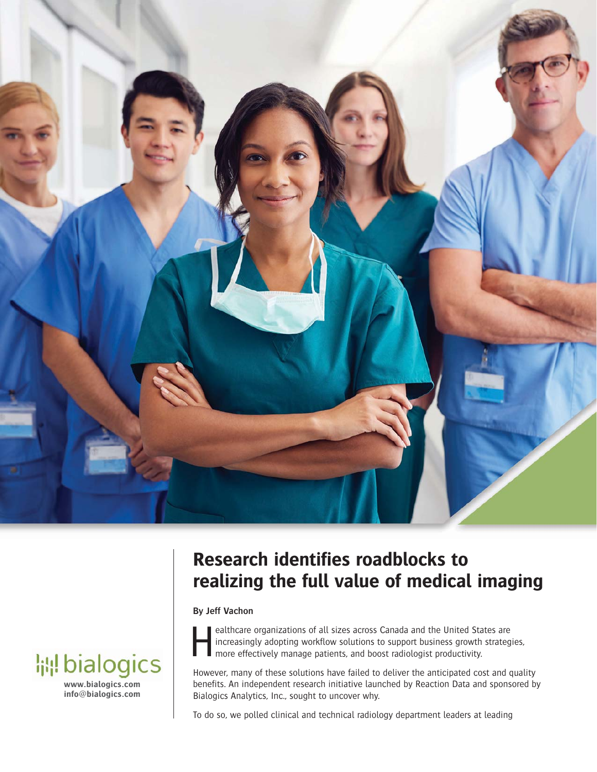

## **Research identifies roadblocks to realizing the full value of medical imaging**

### **By Jeff Vachon**

**www.bialogics.com info@bialogics.com**

**鼎 bialogics** 

ealthcare organizations of all sizes across Canada and the United States are increasingly adopting workflow solutions to support business growth strategies, more effectively manage patients, and boost radiologist productivity. H

However, many of these solutions have failed to deliver the anticipated cost and quality benefits. An independent research initiative launched by Reaction Data and sponsored by Bialogics Analytics, Inc., sought to uncover why.

To do so, we polled clinical and technical radiology department leaders at leading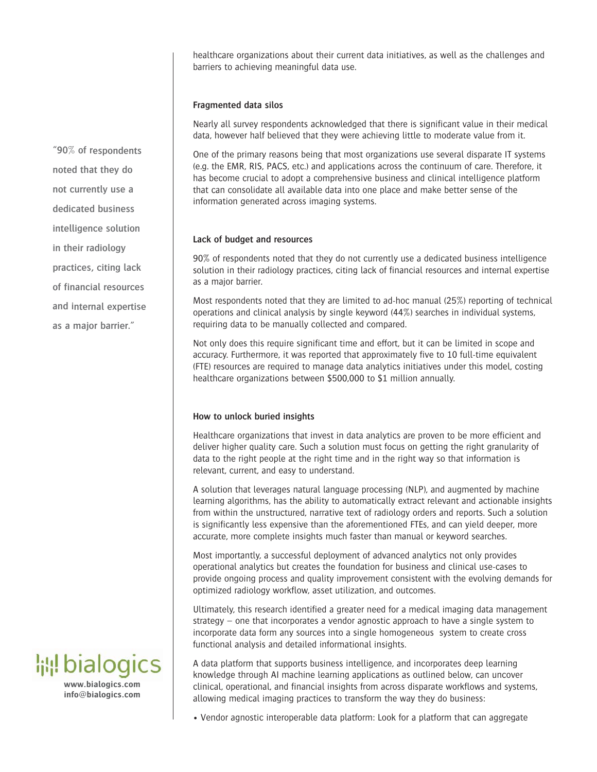healthcare organizations about their current data initiatives, as well as the challenges and barriers to achieving meaningful data use.

#### **Fragmented data silos**

Nearly all survey respondents acknowledged that there is significant value in their medical data, however half believed that they were achieving little to moderate value from it.

One of the primary reasons being that most organizations use several disparate IT systems (e.g. the EMR, RIS, PACS, etc.) and applications across the continuum of care. Therefore, it has become crucial to adopt a comprehensive business and clinical intelligence platform that can consolidate all available data into one place and make better sense of the information generated across imaging systems.

#### **Lack of budget and resources**

90% of respondents noted that they do not currently use a dedicated business intelligence solution in their radiology practices, citing lack of financial resources and internal expertise as a major barrier.

Most respondents noted that they are limited to ad-hoc manual (25%) reporting of technical operations and clinical analysis by single keyword (44%) searches in individual systems, requiring data to be manually collected and compared.

Not only does this require significant time and effort, but it can be limited in scope and accuracy. Furthermore, it was reported that approximately five to 10 full-time equivalent (FTE) resources are required to manage data analytics initiatives under this model, costing healthcare organizations between \$500,000 to \$1 million annually.

#### **How to unlock buried insights**

Healthcare organizations that invest in data analytics are proven to be more efficient and deliver higher quality care. Such a solution must focus on getting the right granularity of data to the right people at the right time and in the right way so that information is relevant, current, and easy to understand.

A solution that leverages natural language processing (NLP), and augmented by machine learning algorithms, has the ability to automatically extract relevant and actionable insights from within the unstructured, narrative text of radiology orders and reports. Such a solution is significantly less expensive than the aforementioned FTEs, and can yield deeper, more accurate, more complete insights much faster than manual or keyword searches.

Most importantly, a successful deployment of advanced analytics not only provides operational analytics but creates the foundation for business and clinical use-cases to provide ongoing process and quality improvement consistent with the evolving demands for optimized radiology workflow, asset utilization, and outcomes.

Ultimately, this research identified a greater need for a medical imaging data management strategy – one that incorporates a vendor agnostic approach to have a single system to incorporate data form any sources into a single homogeneous system to create cross functional analysis and detailed informational insights.

A data platform that supports business intelligence, and incorporates deep learning knowledge through AI machine learning applications as outlined below, can uncover clinical, operational, and financial insights from across disparate workflows and systems, allowing medical imaging practices to transform the way they do business:

• Vendor agnostic interoperable data platform: Look for a platform that can aggregate

**"90% of respondents noted that they do not currently use a dedicated business intelligence solution in their radiology practices, citing lack of financial resources and internal expertise as a major barrier."**

# **www.bialogics.com**

**info@bialogics.com**